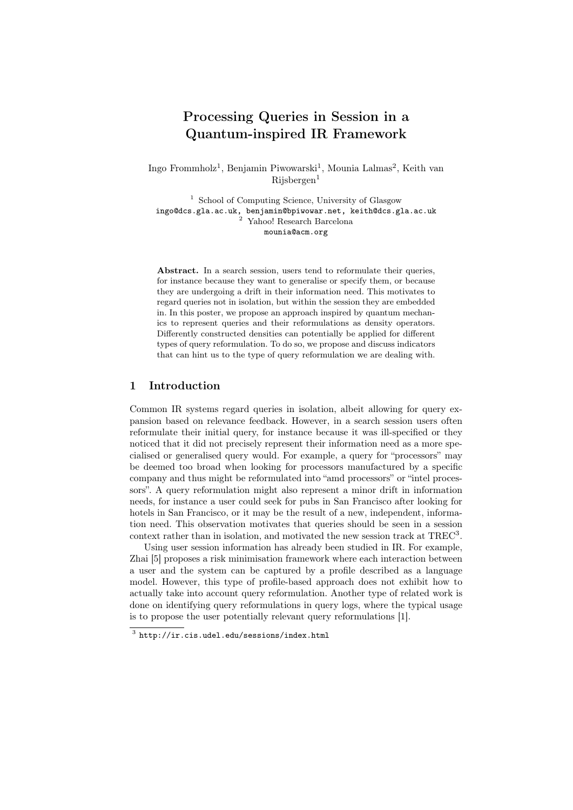# Processing Queries in Session in a Quantum-inspired IR Framework

Ingo Frommholz<sup>1</sup>, Benjamin Piwowarski<sup>1</sup>, Mounia Lalmas<sup>2</sup>, Keith van  $R$ ijsbergen<sup>1</sup>

<sup>1</sup> School of Computing Science, University of Glasgow ingo@dcs.gla.ac.uk, benjamin@bpiwowar.net, keith@dcs.gla.ac.uk <sup>2</sup> Yahoo! Research Barcelona mounia@acm.org

Abstract. In a search session, users tend to reformulate their queries, for instance because they want to generalise or specify them, or because they are undergoing a drift in their information need. This motivates to regard queries not in isolation, but within the session they are embedded in. In this poster, we propose an approach inspired by quantum mechanics to represent queries and their reformulations as density operators. Differently constructed densities can potentially be applied for different types of query reformulation. To do so, we propose and discuss indicators that can hint us to the type of query reformulation we are dealing with.

### 1 Introduction

Common IR systems regard queries in isolation, albeit allowing for query expansion based on relevance feedback. However, in a search session users often reformulate their initial query, for instance because it was ill-specified or they noticed that it did not precisely represent their information need as a more specialised or generalised query would. For example, a query for "processors" may be deemed too broad when looking for processors manufactured by a specific company and thus might be reformulated into "amd processors" or "intel processors". A query reformulation might also represent a minor drift in information needs, for instance a user could seek for pubs in San Francisco after looking for hotels in San Francisco, or it may be the result of a new, independent, information need. This observation motivates that queries should be seen in a session context rather than in isolation, and motivated the new session track at TREC<sup>3</sup>.

Using user session information has already been studied in IR. For example, Zhai [5] proposes a risk minimisation framework where each interaction between a user and the system can be captured by a profile described as a language model. However, this type of profile-based approach does not exhibit how to actually take into account query reformulation. Another type of related work is done on identifying query reformulations in query logs, where the typical usage is to propose the user potentially relevant query reformulations [1].

 $3$  http://ir.cis.udel.edu/sessions/index.html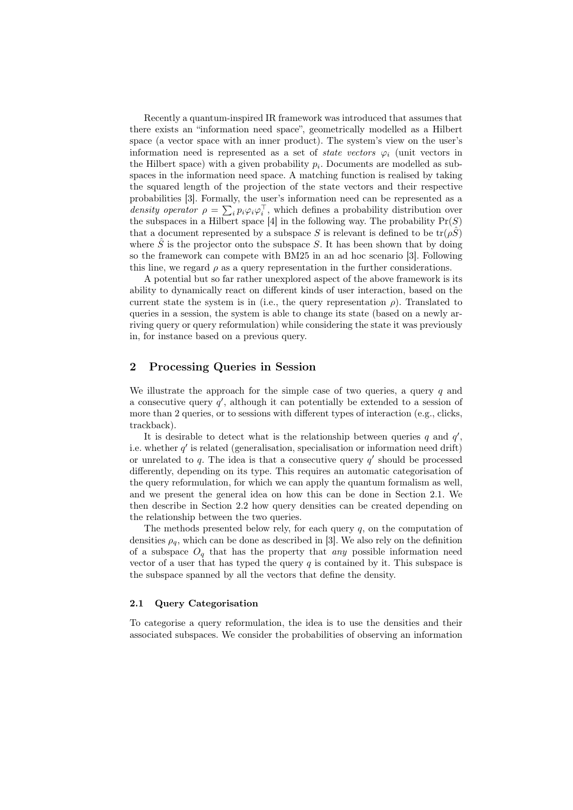Recently a quantum-inspired IR framework was introduced that assumes that there exists an "information need space", geometrically modelled as a Hilbert space (a vector space with an inner product). The system's view on the user's information need is represented as a set of *state vectors*  $\varphi_i$  (unit vectors in the Hilbert space) with a given probability  $p_i$ . Documents are modelled as subspaces in the information need space. A matching function is realised by taking the squared length of the projection of the state vectors and their respective probabilities [3]. Formally, the user's information need can be represented as a *density operator*  $\rho = \sum_i p_i \varphi_i \varphi_i^\top$ , which defines a probability distribution over the subspaces in a Hilbert space  $[4]$  in the following way. The probability  $Pr(S)$ that a document represented by a subspace S is relevant is defined to be  $tr(\rho \hat{S})$ where  $S$  is the projector onto the subspace  $S$ . It has been shown that by doing so the framework can compete with BM25 in an ad hoc scenario [3]. Following this line, we regard  $\rho$  as a query representation in the further considerations.

A potential but so far rather unexplored aspect of the above framework is its ability to dynamically react on different kinds of user interaction, based on the current state the system is in (i.e., the query representation  $\rho$ ). Translated to queries in a session, the system is able to change its state (based on a newly arriving query or query reformulation) while considering the state it was previously in, for instance based on a previous query.

## 2 Processing Queries in Session

We illustrate the approach for the simple case of two queries, a query  $q$  and a consecutive query  $q'$ , although it can potentially be extended to a session of more than 2 queries, or to sessions with different types of interaction (e.g., clicks, trackback).

It is desirable to detect what is the relationship between queries  $q$  and  $q'$ , i.e. whether  $q'$  is related (generalisation, specialisation or information need drift) or unrelated to  $q$ . The idea is that a consecutive query  $q'$  should be processed differently, depending on its type. This requires an automatic categorisation of the query reformulation, for which we can apply the quantum formalism as well, and we present the general idea on how this can be done in Section 2.1. We then describe in Section 2.2 how query densities can be created depending on the relationship between the two queries.

The methods presented below rely, for each query  $q$ , on the computation of densities  $\rho_q$ , which can be done as described in [3]. We also rely on the definition of a subspace  $O_q$  that has the property that *any* possible information need vector of a user that has typed the query  $q$  is contained by it. This subspace is the subspace spanned by all the vectors that define the density.

#### 2.1 Query Categorisation

To categorise a query reformulation, the idea is to use the densities and their associated subspaces. We consider the probabilities of observing an information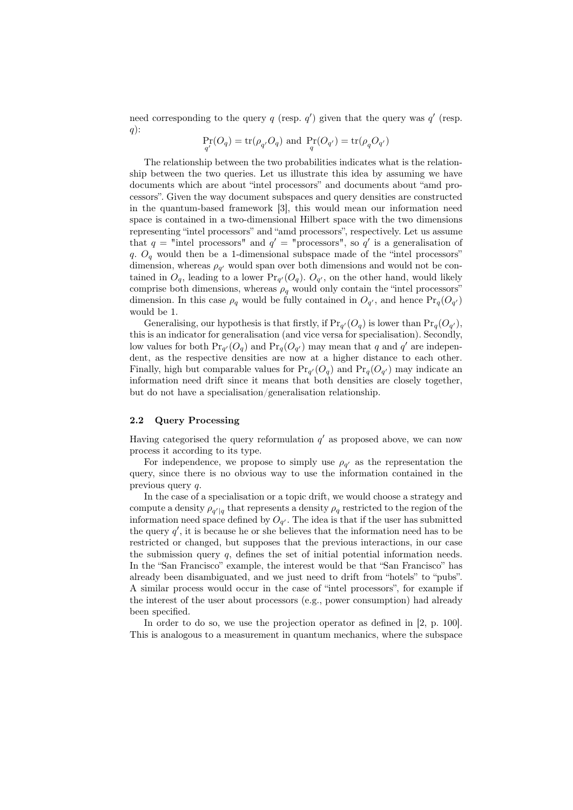need corresponding to the query  $q$  (resp.  $q'$ ) given that the query was  $q'$  (resp.  $q)$ :

$$
\Pr_{q'}(O_q) = \text{tr}(\rho_{q'}O_q) \text{ and } \Pr_{q}(O_{q'}) = \text{tr}(\rho_q O_{q'})
$$

The relationship between the two probabilities indicates what is the relationship between the two queries. Let us illustrate this idea by assuming we have documents which are about "intel processors" and documents about "amd processors". Given the way document subspaces and query densities are constructed in the quantum-based framework [3], this would mean our information need space is contained in a two-dimensional Hilbert space with the two dimensions representing "intel processors" and "amd processors", respectively. Let us assume that  $q =$  "intel processors" and  $q' =$  "processors", so  $q'$  is a generalisation of q. O*<sup>q</sup>* would then be a 1-dimensional subspace made of the "intel processors" dimension, whereas  $\rho_{q'}$  would span over both dimensions and would not be contained in  $O_q$ , leading to a lower  $Pr_{q'}(O_q)$ .  $O_{q'}$ , on the other hand, would likely comprise both dimensions, whereas  $\rho_q$  would only contain the "intel processors" dimension. In this case  $\rho_q$  would be fully contained in  $O_{q'}$ , and hence  $Pr_q(O_{q'})$ would be 1.

Generalising, our hypothesis is that firstly, if  $Pr_{q'}(O_q)$  is lower than  $Pr_q(O_{q'})$ , this is an indicator for generalisation (and vice versa for specialisation). Secondly, low values for both  $Pr_{q'}(O_q)$  and  $Pr_q(O_{q'})$  may mean that q and q' are independent, as the respective densities are now at a higher distance to each other. Finally, high but comparable values for  $Pr_{q'}(O_q)$  and  $Pr_q(O_{q'})$  may indicate an information need drift since it means that both densities are closely together, but do not have a specialisation/generalisation relationship.

#### 2.2 Query Processing

Having categorised the query reformulation  $q'$  as proposed above, we can now process it according to its type.

For independence, we propose to simply use  $\rho_{q'}$  as the representation the query, since there is no obvious way to use the information contained in the previous query q.

In the case of a specialisation or a topic drift, we would choose a strategy and compute a density  $\rho_{q'|q}$  that represents a density  $\rho_q$  restricted to the region of the information need space defined by  $O_{q'}$ . The idea is that if the user has submitted the query  $q'$ , it is because he or she believes that the information need has to be restricted or changed, but supposes that the previous interactions, in our case the submission query  $q$ , defines the set of initial potential information needs. In the "San Francisco" example, the interest would be that "San Francisco" has already been disambiguated, and we just need to drift from "hotels" to "pubs". A similar process would occur in the case of "intel processors", for example if the interest of the user about processors (e.g., power consumption) had already been specified.

In order to do so, we use the projection operator as defined in [2, p. 100]. This is analogous to a measurement in quantum mechanics, where the subspace